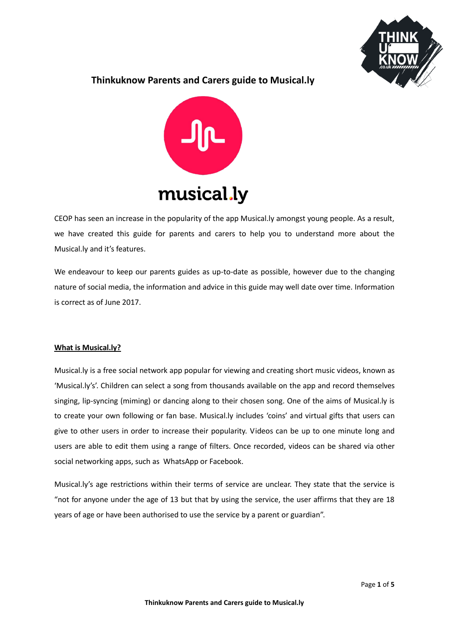

# **Thinkuknow Parents and Carers guide to Musical.ly**



CEOP has seen an increase in the popularity of the app Musical.ly amongst young people. As a result, we have created this guide for parents and carers to help you to understand more about the Musical.ly and it's features.

We endeavour to keep our parents guides as up-to-date as possible, however due to the changing nature of social media, the information and advice in this guide may well date over time. Information is correct as of June 2017.

# **What is Musical.ly?**

Musical.ly is a free social network app popular for viewing and creating short music videos, known as 'Musical.ly's'. Children can select a song from thousands available on the app and record themselves singing, lip-syncing (miming) or dancing along to their chosen song. One of the aims of Musical.ly is to create your own following or fan base. Musical.ly includes 'coins' and virtual gifts that users can give to other users in order to increase their popularity. Videos can be up to one minute long and users are able to edit them using a range of filters. Once recorded, videos can be shared via other social networking apps, such as WhatsApp or Facebook.

Musical.ly's age restrictions within their terms of service are unclear. They state that the service is "not for anyone under the age of 13 but that by using the service, the user affirms that they are 18 years of age or have been authorised to use the service by a parent or guardian".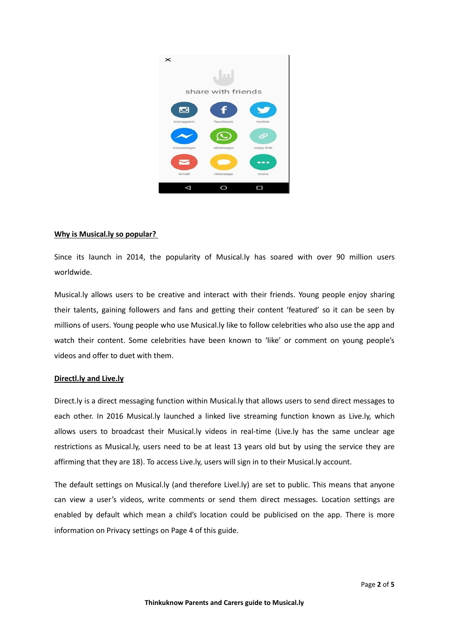

#### **Why is Musical.ly so popular?**

Since its launch in 2014, the popularity of Musical.ly has soared with over 90 million users worldwide.

Musical.ly allows users to be creative and interact with their friends. Young people enjoy sharing their talents, gaining followers and fans and getting their content 'featured' so it can be seen by millions of users. Young people who use Musical.ly like to follow celebrities who also use the app and watch their content. Some celebrities have been known to 'like' or comment on young people's videos and offer to duet with them.

# **Directl.ly and Live.ly**

Direct.ly is a direct messaging function within Musical.ly that allows users to send direct messages to each other. In 2016 Musical.ly launched a linked live streaming function known as Live.ly, which allows users to broadcast their Musical.ly videos in real-time (Live.ly has the same unclear age restrictions as Musical.ly, users need to be at least 13 years old but by using the service they are affirming that they are 18). To access Live.ly, users will sign in to their Musical.ly account.

The default settings on Musical.ly (and therefore Livel.ly) are set to public. This means that anyone can view a user's videos, write comments or send them direct messages. Location settings are enabled by default which mean a child's location could be publicised on the app. There is more information on Privacy settings on Page 4 of this guide.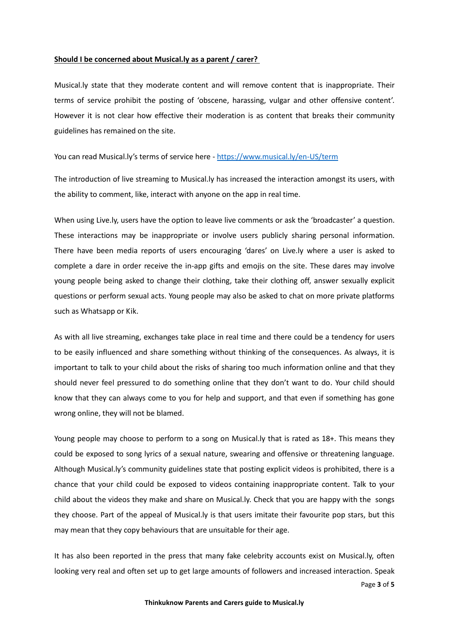#### **Should I be concerned about Musical.ly as a parent / carer?**

Musical.ly state that they moderate content and will remove content that is inappropriate. Their terms of service prohibit the posting of 'obscene, harassing, vulgar and other offensive content'. However it is not clear how effective their moderation is as content that breaks their community guidelines has remained on the site.

You can read Musical.ly's terms of service here - <https://www.musical.ly/en-US/term>

The introduction of live streaming to Musical.ly has increased the interaction amongst its users, with the ability to comment, like, interact with anyone on the app in real time.

When using Live.ly, users have the option to leave live comments or ask the 'broadcaster' a question. These interactions may be inappropriate or involve users publicly sharing personal information. There have been media reports of users encouraging 'dares' on Live.ly where a user is asked to complete a dare in order receive the in-app gifts and emojis on the site. These dares may involve young people being asked to change their clothing, take their clothing off, answer sexually explicit questions or perform sexual acts. Young people may also be asked to chat on more private platforms such as Whatsapp or Kik.

As with all live streaming, exchanges take place in real time and there could be a tendency for users to be easily influenced and share something without thinking of the consequences. As always, it is important to talk to your child about the risks of sharing too much information online and that they should never feel pressured to do something online that they don't want to do. Your child should know that they can always come to you for help and support, and that even if something has gone wrong online, they will not be blamed.

Young people may choose to perform to a song on Musical.ly that is rated as 18+. This means they could be exposed to song lyrics of a sexual nature, swearing and offensive or threatening language. Although Musical.ly's community guidelines state that posting explicit videos is prohibited, there is a chance that your child could be exposed to videos containing inappropriate content. Talk to your child about the videos they make and share on Musical.ly. Check that you are happy with the songs they choose. Part of the appeal of Musical.ly is that users imitate their favourite pop stars, but this may mean that they copy behaviours that are unsuitable for their age.

It has also been reported in the press that many fake celebrity accounts exist on Musical.ly, often looking very real and often set up to get large amounts of followers and increased interaction. Speak

Page **3** of **5**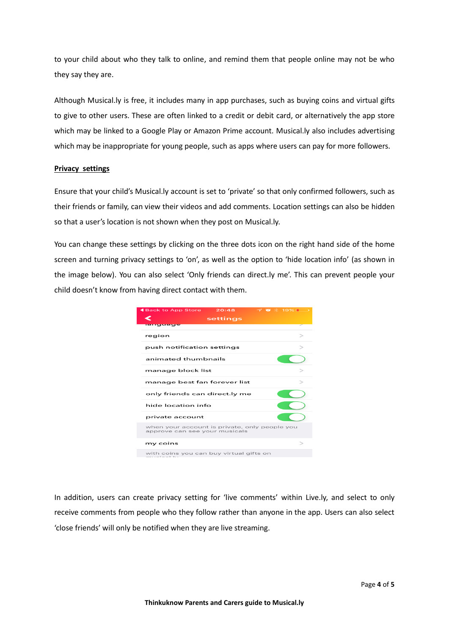to your child about who they talk to online, and remind them that people online may not be who they say they are.

Although Musical.ly is free, it includes many in app purchases, such as buying coins and virtual gifts to give to other users. These are often linked to a credit or debit card, or alternatively the app store which may be linked to a Google Play or Amazon Prime account. Musical.ly also includes advertising which may be inappropriate for young people, such as apps where users can pay for more followers.

#### **Privacy settings**

Ensure that your child's Musical.ly account is set to 'private' so that only confirmed followers, such as their friends or family, can view their videos and add comments. Location settings can also be hidden so that a user's location is not shown when they post on Musical.ly.

You can change these settings by clicking on the three dots icon on the right hand side of the home screen and turning privacy settings to 'on', as well as the option to 'hide location info' (as shown in the image below). You can also select 'Only friends can direct.ly me'. This can prevent people your child doesn't know from having direct contact with them.



In addition, users can create privacy setting for 'live comments' within Live.ly, and select to only receive comments from people who they follow rather than anyone in the app. Users can also select 'close friends' will only be notified when they are live streaming.